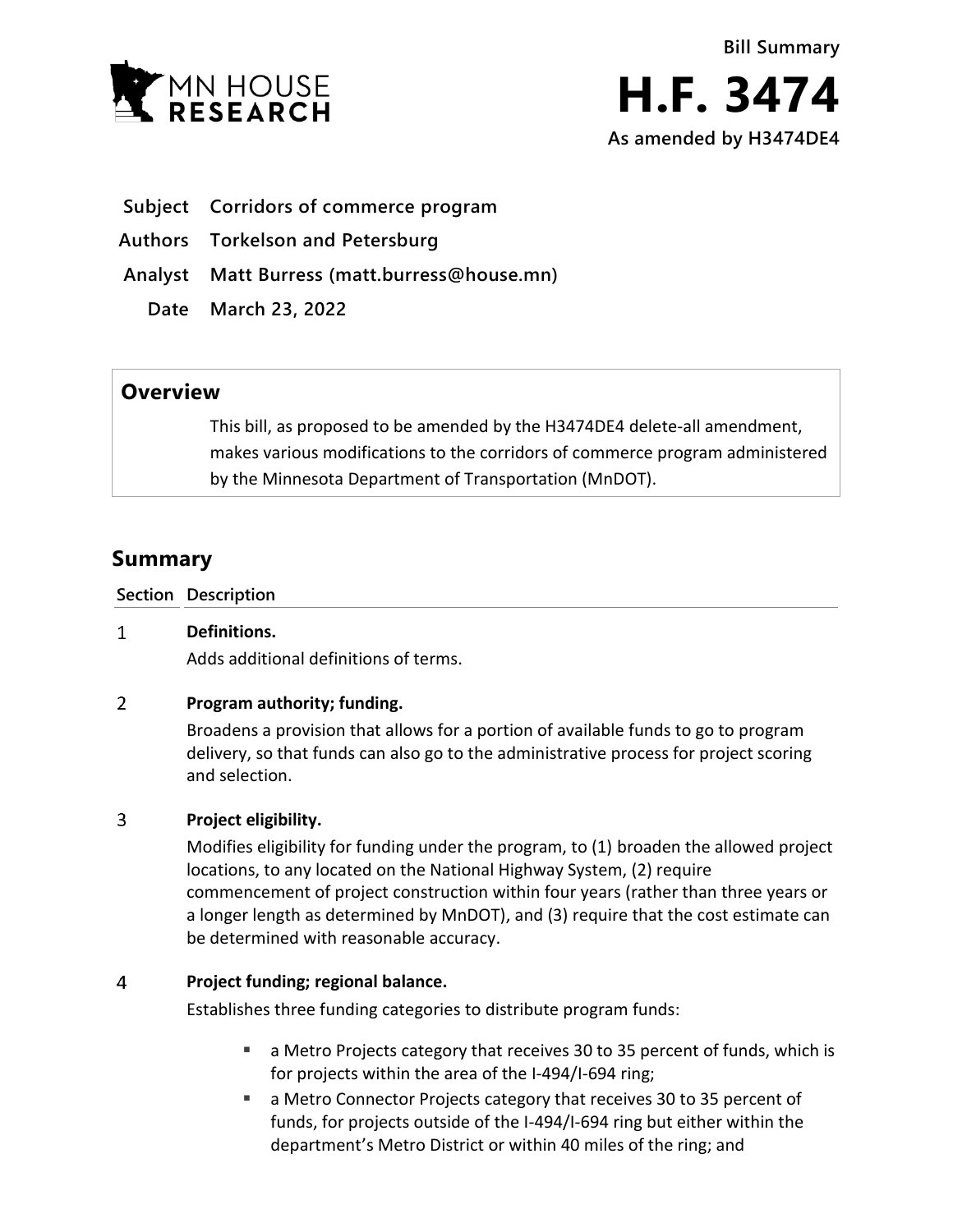

- **Subject Corridors of commerce program**
- **Authors Torkelson and Petersburg**
- **Analyst Matt Burress (matt.burress@house.mn)** 
	- **Date March 23, 2022**

## **Overview**

This bill, as proposed to be amended by the H3474DE4 delete-all amendment, makes various modifications to the corridors of commerce program administered by the Minnesota Department of Transportation (MnDOT).

# **Summary**

**Section Description**

#### $\mathbf{1}$ **Definitions.**

Adds additional definitions of terms.

#### $\overline{2}$ **Program authority; funding.**

Broadens a provision that allows for a portion of available funds to go to program delivery, so that funds can also go to the administrative process for project scoring and selection.

#### $\overline{3}$ **Project eligibility.**

Modifies eligibility for funding under the program, to (1) broaden the allowed project locations, to any located on the National Highway System, (2) require commencement of project construction within four years (rather than three years or a longer length as determined by MnDOT), and (3) require that the cost estimate can be determined with reasonable accuracy.

#### 4 **Project funding; regional balance.**

Establishes three funding categories to distribute program funds:

- a Metro Projects category that receives 30 to 35 percent of funds, which is for projects within the area of the I-494/I-694 ring;
- a Metro Connector Projects category that receives 30 to 35 percent of funds, for projects outside of the I-494/I-694 ring but either within the department's Metro District or within 40 miles of the ring; and